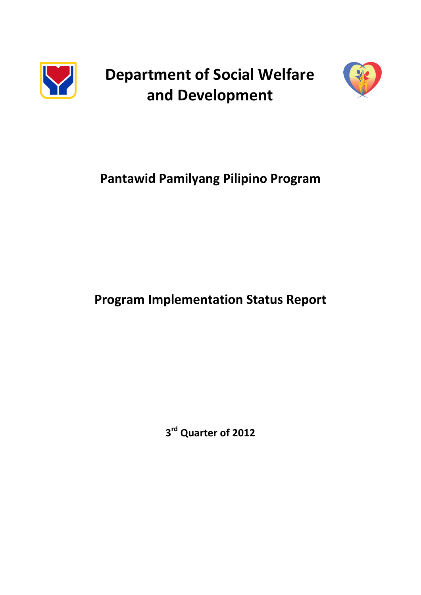

**Department of Social Welfare and Development**



# **Pantawid Pamilyang Pilipino Program**

# **Program Implementation Status Report**

**3 rd Quarter of 2012**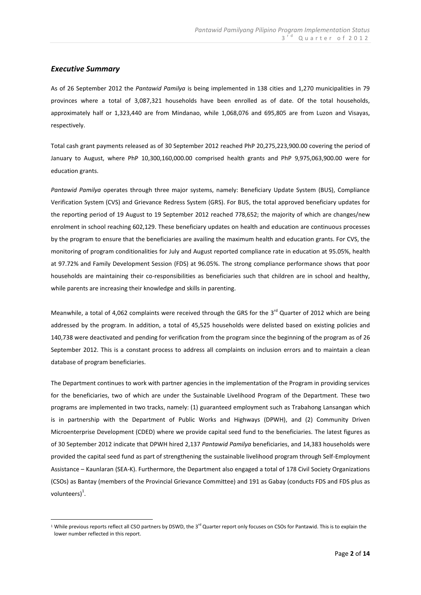## *Executive Summary*

<u>.</u>

As of 26 September 2012 the *Pantawid Pamilya* is being implemented in 138 cities and 1,270 municipalities in 79 provinces where a total of 3,087,321 households have been enrolled as of date. Of the total households, approximately half or 1,323,440 are from Mindanao, while 1,068,076 and 695,805 are from Luzon and Visayas, respectively.

Total cash grant payments released as of 30 September 2012 reached PhP 20,275,223,900.00 covering the period of January to August, where PhP 10,300,160,000.00 comprised health grants and PhP 9,975,063,900.00 were for education grants.

*Pantawid Pamilya* operates through three major systems, namely: Beneficiary Update System (BUS), Compliance Verification System (CVS) and Grievance Redress System (GRS). For BUS, the total approved beneficiary updates for the reporting period of 19 August to 19 September 2012 reached 778,652; the majority of which are changes/new enrolment in school reaching 602,129. These beneficiary updates on health and education are continuous processes by the program to ensure that the beneficiaries are availing the maximum health and education grants. For CVS, the monitoring of program conditionalities for July and August reported compliance rate in education at 95.05%, health at 97.72% and Family Development Session (FDS) at 96.05%. The strong compliance performance shows that poor households are maintaining their co-responsibilities as beneficiaries such that children are in school and healthy, while parents are increasing their knowledge and skills in parenting.

Meanwhile, a total of 4,062 complaints were received through the GRS for the 3 $^{rd}$  Quarter of 2012 which are being addressed by the program. In addition, a total of 45,525 households were delisted based on existing policies and 140,738 were deactivated and pending for verification from the program since the beginning of the program as of 26 September 2012. This is a constant process to address all complaints on inclusion errors and to maintain a clean database of program beneficiaries.

The Department continues to work with partner agencies in the implementation of the Program in providing services for the beneficiaries, two of which are under the Sustainable Livelihood Program of the Department. These two programs are implemented in two tracks, namely: (1) guaranteed employment such as Trabahong Lansangan which is in partnership with the Department of Public Works and Highways (DPWH), and (2) Community Driven Microenterprise Development (CDED) where we provide capital seed fund to the beneficiaries. The latest figures as of 30 September 2012 indicate that DPWH hired 2,137 *Pantawid Pamilya* beneficiaries, and 14,383 households were provided the capital seed fund as part of strengthening the sustainable livelihood program through Self-Employment Assistance – Kaunlaran (SEA-K). Furthermore, the Department also engaged a total of 178 Civil Society Organizations (CSOs) as Bantay (members of the Provincial Grievance Committee) and 191 as Gabay (conducts FDS and FDS plus as volunteers) $<sup>1</sup>$ .</sup>

 $^1$  While previous reports reflect all CSO partners by DSWD, the 3<sup>rd</sup> Quarter report only focuses on CSOs for Pantawid. This is to explain the lower number reflected in this report.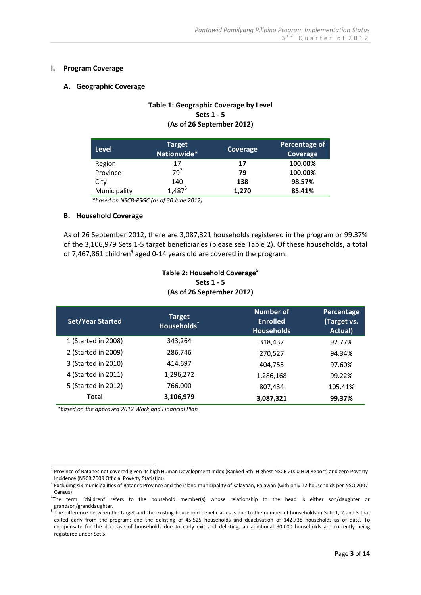## **I. Program Coverage**

#### **A. Geographic Coverage**

## **Table 1: Geographic Coverage by Level Sets 1 - 5 (As of 26 September 2012)**

| Level        | <b>Target</b><br>Nationwide* | Coverage | Percentage of<br>Coverage |
|--------------|------------------------------|----------|---------------------------|
| Region       | 17                           | 17       | 100.00%                   |
| Province     | $79^2$                       | 79       | 100.00%                   |
| City         | 140                          | 138      | 98.57%                    |
| Municipality | $1,487^3$                    | 1,270    | 85.41%                    |

\**based on NSCB-PSGC (as of 30 June 2012)*

#### **B. Household Coverage**

As of 26 September 2012, there are 3,087,321 households registered in the program or 99.37% of the 3,106,979 Sets 1-5 target beneficiaries (please see Table 2). Of these households, a total of 7,467,861 children<sup>4</sup> aged 0-14 years old are covered in the program.

> **Table 2: Household Coverage<sup>5</sup> Sets 1 - 5 (As of 26 September 2012)**

| <b>Set/Year Started</b> | <b>Target</b><br><b>Households</b> | Number of<br><b>Enrolled</b><br><b>Households</b> | Percentage<br>(Target vs.<br>Actual) |
|-------------------------|------------------------------------|---------------------------------------------------|--------------------------------------|
| 1 (Started in 2008)     | 343,264                            | 318,437                                           | 92.77%                               |
| 2 (Started in 2009)     | 286,746                            | 270,527                                           | 94.34%                               |
| 3 (Started in 2010)     | 414,697                            | 404.755                                           | 97.60%                               |
| 4 (Started in 2011)     | 1,296,272                          | 1,286,168                                         | 99.22%                               |
| 5 (Started in 2012)     | 766,000                            | 807,434                                           | 105.41%                              |
| Total                   | 3,106,979                          | 3,087,321                                         | 99.37%                               |

*\*based on the approved 2012 Work and Financial Plan*

 2 Province of Batanes not covered given its high Human Development Index (Ranked 5th Highest NSCB 2000 HDI Report) and zero Poverty Incidence (NSCB 2009 Official Poverty Statistics)

<sup>&</sup>lt;sup>3</sup> Excluding six municipalities of Batanes Province and the island municipality of Kalayaan, Palawan (with only 12 households per NSO 2007 Census)

<sup>4</sup> The term "children" refers to the household member(s) whose relationship to the head is either son/daughter or grandson/granddaughter.

 $5$  The difference between the target and the existing household beneficiaries is due to the number of households in Sets 1, 2 and 3 that exited early from the program; and the delisting of 45,525 households and deactivation of 142,738 households as of date. To compensate for the decrease of households due to early exit and delisting, an additional 90,000 households are currently being registered under Set 5.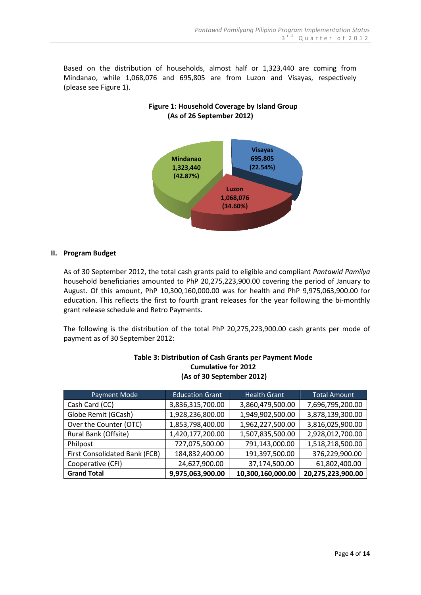Based on the distribution of households, almost half or 1,323,440 are coming from Mindanao, while 1,068,076 and 695,805 are from Luzon and Visayas, respectively (please see Figure 1).



# **Figure 1: Household Coverage by Island Group (As of 26 September 2012)**

## **II. Program Budget**

As of 30 September 2012, the total cash grants paid to eligible and compliant *Pantawid Pamilya* household beneficiaries amounted to PhP 20,275,223,900.00 covering the period of January to August. Of this amount, PhP 10,300,160,000.00 was for health and PhP 9,975,063,900.00 for education. This reflects the first to fourth grant releases for the year following the bi-monthly grant release schedule and Retro Payments.

The following is the distribution of the total PhP 20,275,223,900.00 cash grants per mode of payment as of 30 September 2012:

| Payment Mode                  | <b>Education Grant</b> | <b>Health Grant</b> | Total Amount      |
|-------------------------------|------------------------|---------------------|-------------------|
| Cash Card (CC)                | 3,836,315,700.00       | 3,860,479,500.00    | 7,696,795,200.00  |
| Globe Remit (GCash)           | 1,928,236,800.00       | 1,949,902,500.00    | 3,878,139,300.00  |
| Over the Counter (OTC)        | 1,853,798,400.00       | 1,962,227,500.00    | 3,816,025,900.00  |
| Rural Bank (Offsite)          | 1,420,177,200.00       | 1,507,835,500.00    | 2,928,012,700.00  |
| Philpost                      | 727,075,500.00         | 791,143,000.00      | 1,518,218,500.00  |
| First Consolidated Bank (FCB) | 184,832,400.00         | 191,397,500.00      | 376,229,900.00    |
| Cooperative (CFI)             | 24,627,900.00          | 37,174,500.00       | 61,802,400.00     |
| <b>Grand Total</b>            | 9,975,063,900.00       | 10,300,160,000.00   | 20,275,223,900.00 |

## **Table 3: Distribution of Cash Grants per Payment Mode Cumulative for 2012 (As of 30 September 2012)**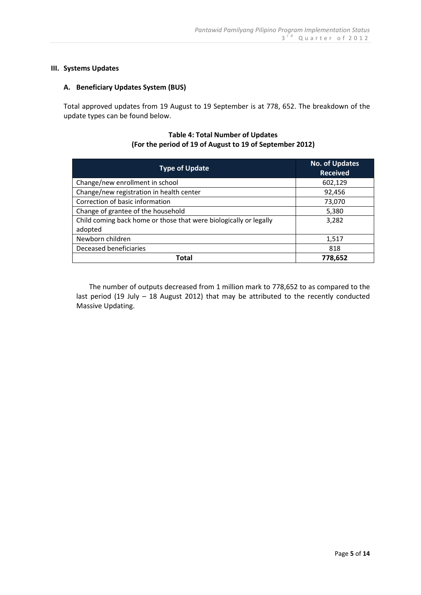## **III. Systems Updates**

## **A. Beneficiary Updates System (BUS)**

Total approved updates from 19 August to 19 September is at 778, 652. The breakdown of the update types can be found below.

## **Table 4: Total Number of Updates (For the period of 19 of August to 19 of September 2012)**

| <b>Type of Update</b>                                             | <b>No. of Updates</b><br><b>Received</b> |
|-------------------------------------------------------------------|------------------------------------------|
| Change/new enrollment in school                                   | 602,129                                  |
| Change/new registration in health center                          | 92,456                                   |
| Correction of basic information                                   | 73,070                                   |
| Change of grantee of the household                                | 5,380                                    |
| Child coming back home or those that were biologically or legally | 3,282                                    |
| adopted                                                           |                                          |
| Newborn children                                                  | 1,517                                    |
| Deceased beneficiaries                                            | 818                                      |
| Total                                                             | 778,652                                  |

The number of outputs decreased from 1 million mark to 778,652 to as compared to the last period (19 July – 18 August 2012) that may be attributed to the recently conducted Massive Updating.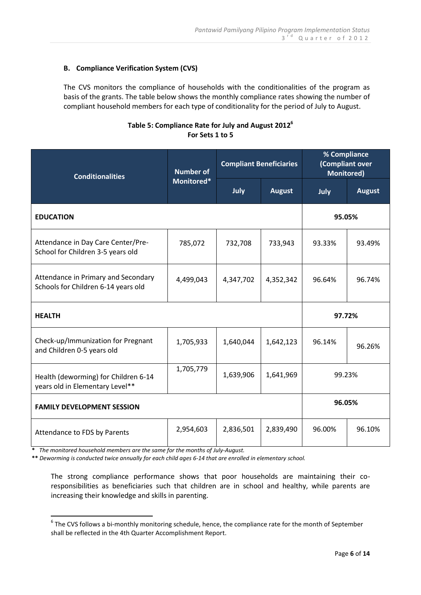# **B. Compliance Verification System (CVS)**

The CVS monitors the compliance of households with the conditionalities of the program as basis of the grants. The table below shows the monthly compliance rates showing the number of compliant household members for each type of conditionality for the period of July to August.

## **Table 5: Compliance Rate for July and August 2012<sup>6</sup> For Sets 1 to 5**

| <b>Conditionalities</b>                                                    | <b>Number of</b><br>Monitored* | <b>Compliant Beneficiaries</b> |               | % Compliance<br>(Compliant over<br><b>Monitored)</b> |               |
|----------------------------------------------------------------------------|--------------------------------|--------------------------------|---------------|------------------------------------------------------|---------------|
|                                                                            |                                | July                           | <b>August</b> | July                                                 | <b>August</b> |
| <b>EDUCATION</b>                                                           |                                |                                |               | 95.05%                                               |               |
| Attendance in Day Care Center/Pre-<br>School for Children 3-5 years old    | 785,072                        | 732,708                        | 733,943       | 93.33%                                               | 93.49%        |
| Attendance in Primary and Secondary<br>Schools for Children 6-14 years old | 4,499,043                      | 4,347,702                      | 4,352,342     | 96.64%                                               | 96.74%        |
| <b>HEALTH</b>                                                              |                                |                                |               | 97.72%                                               |               |
| Check-up/Immunization for Pregnant<br>and Children 0-5 years old           | 1,705,933                      | 1,640,044                      | 1,642,123     | 96.14%                                               | 96.26%        |
| Health (deworming) for Children 6-14<br>years old in Elementary Level**    | 1,705,779                      | 1,639,906                      | 1,641,969     | 99.23%                                               |               |
| <b>FAMILY DEVELOPMENT SESSION</b>                                          |                                |                                |               | 96.05%                                               |               |
| Attendance to FDS by Parents                                               | 2,954,603                      | 2,836,501                      | 2,839,490     | 96.00%                                               | 96.10%        |

**\*** *The monitored household members are the same for the months of July-August.*

**\*\*** *Deworming is conducted twice annually for each child ages 6-14 that are enrolled in elementary school.*

The strong compliance performance shows that poor households are maintaining their coresponsibilities as beneficiaries such that children are in school and healthy, while parents are increasing their knowledge and skills in parenting.

 6 The CVS follows a bi-monthly monitoring schedule, hence, the compliance rate for the month of September shall be reflected in the 4th Quarter Accomplishment Report.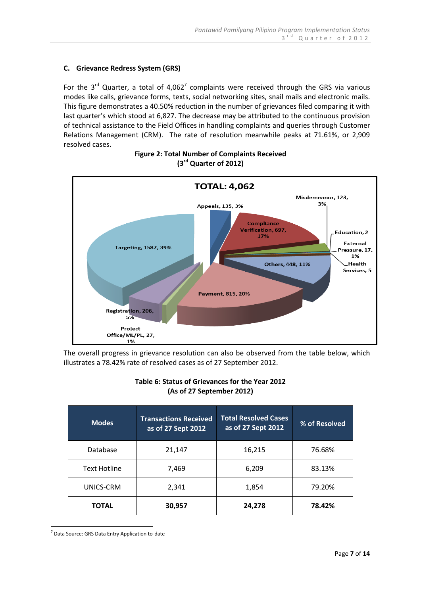# **C. Grievance Redress System (GRS)**

For the  $3^{rd}$  Quarter, a total of 4,062<sup>7</sup> complaints were received through the GRS via various modes like calls, grievance forms, texts, social networking sites, snail mails and electronic mails. This figure demonstrates a 40.50% reduction in the number of grievances filed comparing it with last quarter's which stood at 6,827. The decrease may be attributed to the continuous provision of technical assistance to the Field Offices in handling complaints and queries through Customer Relations Management (CRM). The rate of resolution meanwhile peaks at 71.61%, or 2,909 resolved cases.



# **Figure 2: Total Number of Complaints Received (3 rd Quarter of 2012)**

The overall progress in grievance resolution can also be observed from the table below, which illustrates a 78.42% rate of resolved cases as of 27 September 2012.

| Table 6: Status of Grievances for the Year 2012 |  |  |
|-------------------------------------------------|--|--|
| (As of 27 September 2012)                       |  |  |

| <b>Modes</b>        | <b>Transactions Received</b><br>as of 27 Sept 2012 | <b>Total Resolved Cases</b><br>as of 27 Sept 2012 | % of Resolved |
|---------------------|----------------------------------------------------|---------------------------------------------------|---------------|
| Database            | 21,147                                             | 16,215                                            | 76.68%        |
| <b>Text Hotline</b> | 7,469                                              | 6,209                                             | 83.13%        |
| UNICS-CRM           | 2,341                                              | 1,854                                             | 79.20%        |
| <b>TOTAL</b>        | 30,957                                             | 24,278                                            | 78.42%        |

<sup>7</sup> Data Source: GRS Data Entry Application to-date

<u>.</u>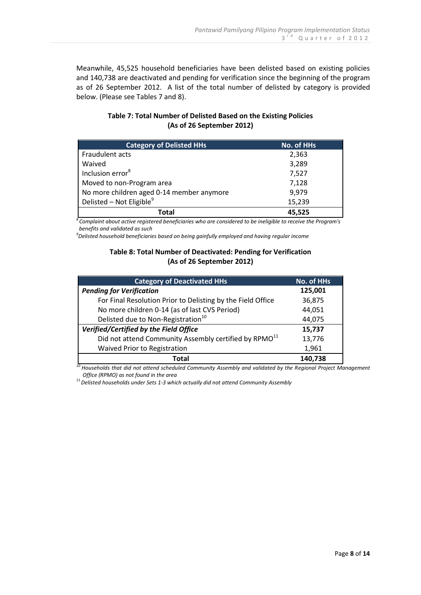Meanwhile, 45,525 household beneficiaries have been delisted based on existing policies and 140,738 are deactivated and pending for verification since the beginning of the program as of 26 September 2012. A list of the total number of delisted by category is provided below. (Please see Tables 7 and 8).

| <b>Category of Delisted HHs</b>           | <b>No. of HHs</b> |
|-------------------------------------------|-------------------|
| Fraudulent acts                           | 2,363             |
| Waived                                    | 3,289             |
| Inclusion error <sup>8</sup>              | 7,527             |
| Moved to non-Program area                 | 7,128             |
| No more children aged 0-14 member anymore | 9,979             |
| Delisted - Not Eligible <sup>9</sup>      | 15,239            |
| Total                                     | 45,525            |

# **Table 7: Total Number of Delisted Based on the Existing Policies (As of 26 September 2012)**

*<sup>8</sup>Complaint about active registered beneficiaries who are considered to be ineligible to receive the Program's benefits and validated as such*

*9 Delisted household beneficiaries based on being gainfully employed and having regular income*

## **Table 8: Total Number of Deactivated: Pending for Verification (As of 26 September 2012)**

| <b>Category of Deactivated HHs</b>                                | No. of HHs |  |
|-------------------------------------------------------------------|------------|--|
| <b>Pending for Verification</b>                                   | 125,001    |  |
| For Final Resolution Prior to Delisting by the Field Office       | 36,875     |  |
| No more children 0-14 (as of last CVS Period)                     | 44,051     |  |
| Delisted due to Non-Registration <sup>10</sup>                    | 44,075     |  |
| Verified/Certified by the Field Office                            | 15,737     |  |
| Did not attend Community Assembly certified by RPMO <sup>11</sup> | 13,776     |  |
| Waived Prior to Registration                                      | 1,961      |  |
| Total                                                             | 140,738    |  |

*<sup>10</sup> Households that did not attend scheduled Community Assembly and validated by the Regional Project Management Office (RPMO) as not found in the area*

*<sup>11</sup>Delisted households under Sets 1-3 which actually did not attend Community Assembly*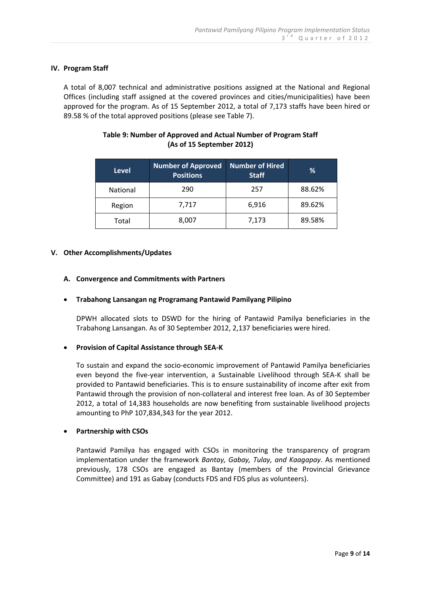## **IV. Program Staff**

A total of 8,007 technical and administrative positions assigned at the National and Regional Offices (including staff assigned at the covered provinces and cities/municipalities) have been approved for the program. As of 15 September 2012, a total of 7,173 staffs have been hired or 89.58 % of the total approved positions (please see Table 7).

## **Table 9: Number of Approved and Actual Number of Program Staff (As of 15 September 2012)**

| <b>Level</b>    | <b>Number of Approved</b><br><b>Positions</b> | Number of Hired<br><b>Staff</b> | %      |
|-----------------|-----------------------------------------------|---------------------------------|--------|
| <b>National</b> | 290                                           | 257                             | 88.62% |
| Region          | 7,717                                         | 6,916                           | 89.62% |
| Total           | 8,007                                         | 7,173                           | 89.58% |

## **V. Other Accomplishments/Updates**

## **A. Convergence and Commitments with Partners**

## **Trabahong Lansangan ng Programang Pantawid Pamilyang Pilipino**

DPWH allocated slots to DSWD for the hiring of Pantawid Pamilya beneficiaries in the Trabahong Lansangan. As of 30 September 2012, 2,137 beneficiaries were hired.

## **Provision of Capital Assistance through SEA-K**

To sustain and expand the socio-economic improvement of Pantawid Pamilya beneficiaries even beyond the five-year intervention, a Sustainable Livelihood through SEA-K shall be provided to Pantawid beneficiaries. This is to ensure sustainability of income after exit from Pantawid through the provision of non-collateral and interest free loan. As of 30 September 2012, a total of 14,383 households are now benefiting from sustainable livelihood projects amounting to PhP 107,834,343 for the year 2012.

## **Partnership with CSOs**

Pantawid Pamilya has engaged with CSOs in monitoring the transparency of program implementation under the framework *Bantay, Gabay, Tulay, and Kaagapay*. As mentioned previously, 178 CSOs are engaged as Bantay (members of the Provincial Grievance Committee) and 191 as Gabay (conducts FDS and FDS plus as volunteers).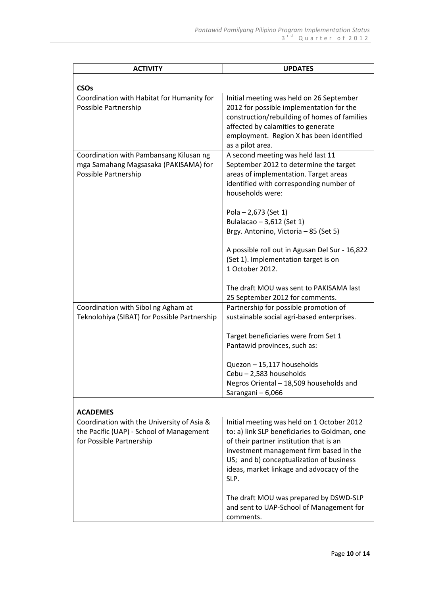| <b>ACTIVITY</b>                                                                                                    | <b>UPDATES</b>                                                                                                                                                                                                                                                                                                                        |
|--------------------------------------------------------------------------------------------------------------------|---------------------------------------------------------------------------------------------------------------------------------------------------------------------------------------------------------------------------------------------------------------------------------------------------------------------------------------|
| <b>CSOs</b>                                                                                                        |                                                                                                                                                                                                                                                                                                                                       |
| Coordination with Habitat for Humanity for<br>Possible Partnership                                                 | Initial meeting was held on 26 September<br>2012 for possible implementation for the<br>construction/rebuilding of homes of families<br>affected by calamities to generate<br>employment. Region X has been identified<br>as a pilot area.                                                                                            |
| Coordination with Pambansang Kilusan ng<br>mga Samahang Magsasaka (PAKISAMA) for<br>Possible Partnership           | A second meeting was held last 11<br>September 2012 to determine the target<br>areas of implementation. Target areas<br>identified with corresponding number of<br>households were:<br>Pola $- 2,673$ (Set 1)<br>Bulalacao - 3,612 (Set 1)<br>Brgy. Antonino, Victoria - 85 (Set 5)<br>A possible roll out in Agusan Del Sur - 16,822 |
|                                                                                                                    | (Set 1). Implementation target is on<br>1 October 2012.<br>The draft MOU was sent to PAKISAMA last<br>25 September 2012 for comments.                                                                                                                                                                                                 |
| Coordination with Sibol ng Agham at                                                                                | Partnership for possible promotion of                                                                                                                                                                                                                                                                                                 |
| Teknolohiya (SIBAT) for Possible Partnership                                                                       | sustainable social agri-based enterprises.<br>Target beneficiaries were from Set 1<br>Pantawid provinces, such as:                                                                                                                                                                                                                    |
|                                                                                                                    | Quezon - 15,117 households<br>Cebu - 2,583 households<br>Negros Oriental - 18,509 households and<br>Sarangani - 6,066                                                                                                                                                                                                                 |
| <b>ACADEMES</b>                                                                                                    |                                                                                                                                                                                                                                                                                                                                       |
| Coordination with the University of Asia &<br>the Pacific (UAP) - School of Management<br>for Possible Partnership | Initial meeting was held on 1 October 2012<br>to: a) link SLP beneficiaries to Goldman, one<br>of their partner institution that is an<br>investment management firm based in the<br>US; and b) conceptualization of business<br>ideas, market linkage and advocacy of the<br>SLP.                                                    |
|                                                                                                                    | The draft MOU was prepared by DSWD-SLP<br>and sent to UAP-School of Management for<br>comments.                                                                                                                                                                                                                                       |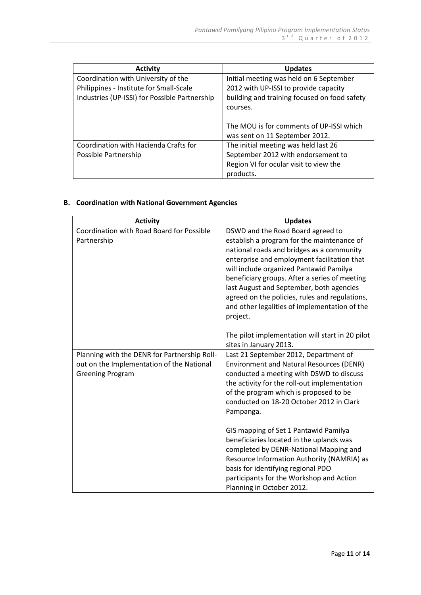| <b>Activity</b>                               | <b>Updates</b>                               |
|-----------------------------------------------|----------------------------------------------|
| Coordination with University of the           | Initial meeting was held on 6 September      |
| Philippines - Institute for Small-Scale       | 2012 with UP-ISSI to provide capacity        |
| Industries (UP-ISSI) for Possible Partnership | building and training focused on food safety |
|                                               | courses.                                     |
|                                               |                                              |
|                                               | The MOU is for comments of UP-ISSI which     |
|                                               | was sent on 11 September 2012.               |
| Coordination with Hacienda Crafts for         | The initial meeting was held last 26         |
| Possible Partnership                          | September 2012 with endorsement to           |
|                                               | Region VI for ocular visit to view the       |
|                                               | products.                                    |

# **B. Coordination with National Government Agencies**

| <b>Activity</b>                              | <b>Updates</b>                                  |
|----------------------------------------------|-------------------------------------------------|
| Coordination with Road Board for Possible    | DSWD and the Road Board agreed to               |
| Partnership                                  | establish a program for the maintenance of      |
|                                              | national roads and bridges as a community       |
|                                              | enterprise and employment facilitation that     |
|                                              | will include organized Pantawid Pamilya         |
|                                              | beneficiary groups. After a series of meeting   |
|                                              | last August and September, both agencies        |
|                                              | agreed on the policies, rules and regulations,  |
|                                              | and other legalities of implementation of the   |
|                                              | project.                                        |
|                                              |                                                 |
|                                              | The pilot implementation will start in 20 pilot |
|                                              | sites in January 2013.                          |
| Planning with the DENR for Partnership Roll- | Last 21 September 2012, Department of           |
| out on the Implementation of the National    | <b>Environment and Natural Resources (DENR)</b> |
| <b>Greening Program</b>                      | conducted a meeting with DSWD to discuss        |
|                                              | the activity for the roll-out implementation    |
|                                              | of the program which is proposed to be          |
|                                              | conducted on 18-20 October 2012 in Clark        |
|                                              | Pampanga.                                       |
|                                              |                                                 |
|                                              | GIS mapping of Set 1 Pantawid Pamilya           |
|                                              | beneficiaries located in the uplands was        |
|                                              | completed by DENR-National Mapping and          |
|                                              | Resource Information Authority (NAMRIA) as      |
|                                              | basis for identifying regional PDO              |
|                                              | participants for the Workshop and Action        |
|                                              | Planning in October 2012.                       |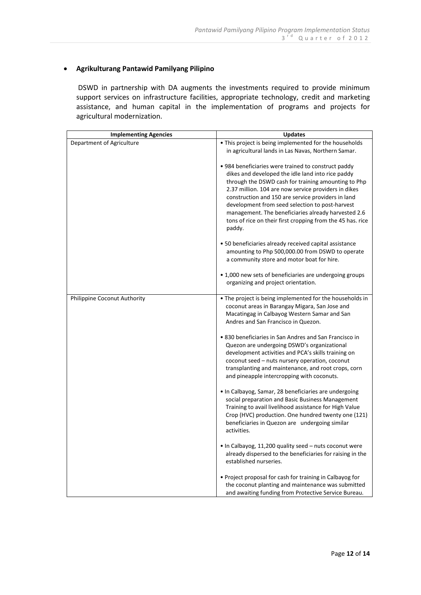## **Agrikulturang Pantawid Pamilyang Pilipino**

DSWD in partnership with DA augments the investments required to provide minimum support services on infrastructure facilities, appropriate technology, credit and marketing assistance, and human capital in the implementation of programs and projects for agricultural modernization.

| <b>Implementing Agencies</b> | <b>Updates</b>                                                                                             |
|------------------------------|------------------------------------------------------------------------------------------------------------|
| Department of Agriculture    | . This project is being implemented for the households                                                     |
|                              | in agricultural lands in Las Navas, Northern Samar.                                                        |
|                              | • 984 beneficiaries were trained to construct paddy                                                        |
|                              | dikes and developed the idle land into rice paddy<br>through the DSWD cash for training amounting to Php   |
|                              | 2.37 million. 104 are now service providers in dikes                                                       |
|                              | construction and 150 are service providers in land                                                         |
|                              | development from seed selection to post-harvest<br>management. The beneficiaries already harvested 2.6     |
|                              | tons of rice on their first cropping from the 45 has. rice                                                 |
|                              | paddy.                                                                                                     |
|                              | • 50 beneficiaries already received capital assistance                                                     |
|                              | amounting to Php 500,000.00 from DSWD to operate<br>a community store and motor boat for hire.             |
|                              | • 1,000 new sets of beneficiaries are undergoing groups                                                    |
|                              | organizing and project orientation.                                                                        |
| Philippine Coconut Authority | • The project is being implemented for the households in                                                   |
|                              | coconut areas in Barangay Migara, San Jose and<br>Macatingag in Calbayog Western Samar and San             |
|                              | Andres and San Francisco in Quezon.                                                                        |
|                              | • 830 beneficiaries in San Andres and San Francisco in                                                     |
|                              | Quezon are undergoing DSWD's organizational<br>development activities and PCA's skills training on         |
|                              | coconut seed - nuts nursery operation, coconut                                                             |
|                              | transplanting and maintenance, and root crops, corn                                                        |
|                              | and pineapple intercropping with coconuts.                                                                 |
|                              | • In Calbayog, Samar, 28 beneficiaries are undergoing                                                      |
|                              | social preparation and Basic Business Management<br>Training to avail livelihood assistance for High Value |
|                              | Crop (HVC) production. One hundred twenty one (121)                                                        |
|                              | beneficiaries in Quezon are undergoing similar<br>activities.                                              |
|                              | . In Calbayog, 11,200 quality seed - nuts coconut were                                                     |
|                              | already dispersed to the beneficiaries for raising in the<br>established nurseries.                        |
|                              | • Project proposal for cash for training in Calbayog for                                                   |
|                              | the coconut planting and maintenance was submitted                                                         |
|                              | and awaiting funding from Protective Service Bureau.                                                       |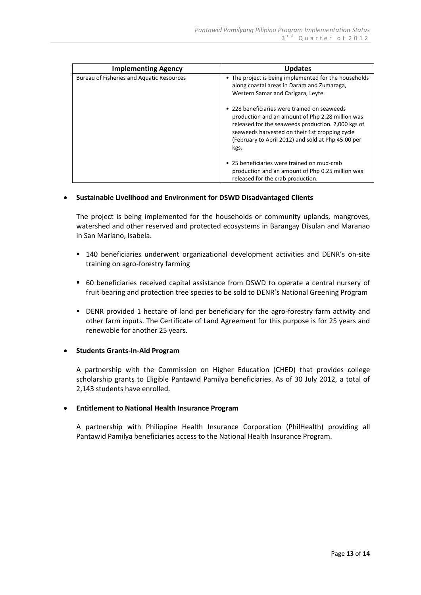| <b>Implementing Agency</b>                | <b>Updates</b>                                                                                                                                                                                                                                                         |
|-------------------------------------------|------------------------------------------------------------------------------------------------------------------------------------------------------------------------------------------------------------------------------------------------------------------------|
| Bureau of Fisheries and Aquatic Resources | • The project is being implemented for the households<br>along coastal areas in Daram and Zumaraga,<br>Western Samar and Carigara, Leyte.                                                                                                                              |
|                                           | • 228 beneficiaries were trained on seaweeds<br>production and an amount of Php 2.28 million was<br>released for the seaweeds production. 2,000 kgs of<br>seaweeds harvested on their 1st cropping cycle<br>(February to April 2012) and sold at Php 45.00 per<br>kgs. |
|                                           | • 25 beneficiaries were trained on mud-crab<br>production and an amount of Php 0.25 million was<br>released for the crab production.                                                                                                                                   |

## **Sustainable Livelihood and Environment for DSWD Disadvantaged Clients**

The project is being implemented for the households or community uplands, mangroves, watershed and other reserved and protected ecosystems in Barangay Disulan and Maranao in San Mariano, Isabela.

- 140 beneficiaries underwent organizational development activities and DENR's on-site training on agro-forestry farming
- 60 beneficiaries received capital assistance from DSWD to operate a central nursery of fruit bearing and protection tree species to be sold to DENR's National Greening Program
- DENR provided 1 hectare of land per beneficiary for the agro-forestry farm activity and other farm inputs. The Certificate of Land Agreement for this purpose is for 25 years and renewable for another 25 years.

## **Students Grants-In-Aid Program**

A partnership with the Commission on Higher Education (CHED) that provides college scholarship grants to Eligible Pantawid Pamilya beneficiaries. As of 30 July 2012, a total of 2,143 students have enrolled.

#### **Entitlement to National Health Insurance Program**

A partnership with Philippine Health Insurance Corporation (PhilHealth) providing all Pantawid Pamilya beneficiaries access to the National Health Insurance Program.